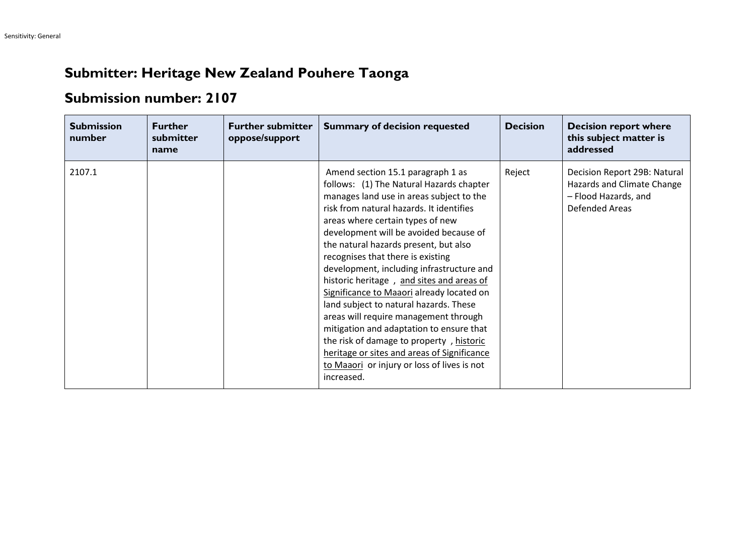## **Submitter: Heritage New Zealand Pouhere Taonga**

## **Submission number: 2107**

| <b>Submission</b><br>number | <b>Further</b><br>submitter<br>name | <b>Further submitter</b><br>oppose/support | <b>Summary of decision requested</b>                                                                                                                                                                                                                                                                                                                                                                                                                                                                                                                                                                                                                                                                                                                            | <b>Decision</b> | <b>Decision report where</b><br>this subject matter is<br>addressed                                         |
|-----------------------------|-------------------------------------|--------------------------------------------|-----------------------------------------------------------------------------------------------------------------------------------------------------------------------------------------------------------------------------------------------------------------------------------------------------------------------------------------------------------------------------------------------------------------------------------------------------------------------------------------------------------------------------------------------------------------------------------------------------------------------------------------------------------------------------------------------------------------------------------------------------------------|-----------------|-------------------------------------------------------------------------------------------------------------|
| 2107.1                      |                                     |                                            | Amend section 15.1 paragraph 1 as<br>follows: (1) The Natural Hazards chapter<br>manages land use in areas subject to the<br>risk from natural hazards. It identifies<br>areas where certain types of new<br>development will be avoided because of<br>the natural hazards present, but also<br>recognises that there is existing<br>development, including infrastructure and<br>historic heritage, and sites and areas of<br>Significance to Maaori already located on<br>land subject to natural hazards. These<br>areas will require management through<br>mitigation and adaptation to ensure that<br>the risk of damage to property, historic<br>heritage or sites and areas of Significance<br>to Maaori or injury or loss of lives is not<br>increased. | Reject          | Decision Report 29B: Natural<br>Hazards and Climate Change<br>- Flood Hazards, and<br><b>Defended Areas</b> |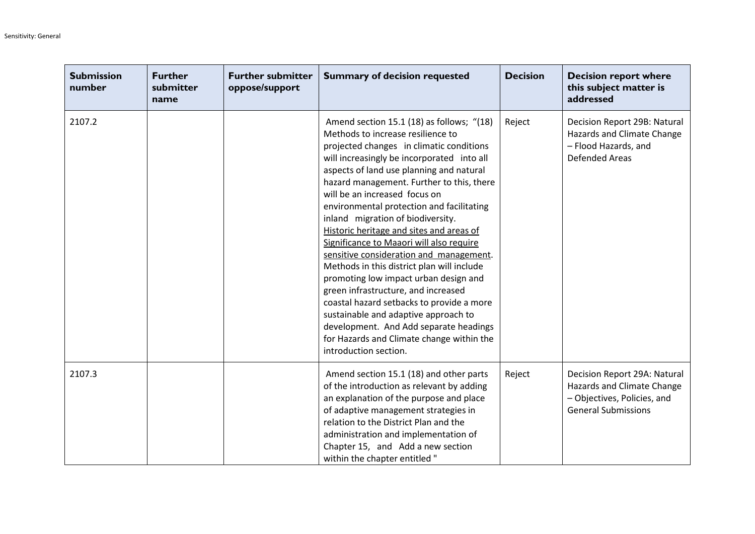| <b>Submission</b><br>number | <b>Further</b><br>submitter<br>name | <b>Further submitter</b><br>oppose/support | <b>Summary of decision requested</b>                                                                                                                                                                                                                                                                                                                                                                                                                                                                                                                                                                                                                                                                                                                                                                                                                       | <b>Decision</b> | <b>Decision report where</b><br>this subject matter is<br>addressed                                                     |
|-----------------------------|-------------------------------------|--------------------------------------------|------------------------------------------------------------------------------------------------------------------------------------------------------------------------------------------------------------------------------------------------------------------------------------------------------------------------------------------------------------------------------------------------------------------------------------------------------------------------------------------------------------------------------------------------------------------------------------------------------------------------------------------------------------------------------------------------------------------------------------------------------------------------------------------------------------------------------------------------------------|-----------------|-------------------------------------------------------------------------------------------------------------------------|
| 2107.2                      |                                     |                                            | Amend section 15.1 (18) as follows; "(18)<br>Methods to increase resilience to<br>projected changes in climatic conditions<br>will increasingly be incorporated into all<br>aspects of land use planning and natural<br>hazard management. Further to this, there<br>will be an increased focus on<br>environmental protection and facilitating<br>inland migration of biodiversity.<br>Historic heritage and sites and areas of<br>Significance to Maaori will also require<br>sensitive consideration and management.<br>Methods in this district plan will include<br>promoting low impact urban design and<br>green infrastructure, and increased<br>coastal hazard setbacks to provide a more<br>sustainable and adaptive approach to<br>development. And Add separate headings<br>for Hazards and Climate change within the<br>introduction section. | Reject          | Decision Report 29B: Natural<br>Hazards and Climate Change<br>- Flood Hazards, and<br><b>Defended Areas</b>             |
| 2107.3                      |                                     |                                            | Amend section 15.1 (18) and other parts<br>of the introduction as relevant by adding<br>an explanation of the purpose and place<br>of adaptive management strategies in<br>relation to the District Plan and the<br>administration and implementation of<br>Chapter 15, and Add a new section<br>within the chapter entitled"                                                                                                                                                                                                                                                                                                                                                                                                                                                                                                                              | Reject          | Decision Report 29A: Natural<br>Hazards and Climate Change<br>- Objectives, Policies, and<br><b>General Submissions</b> |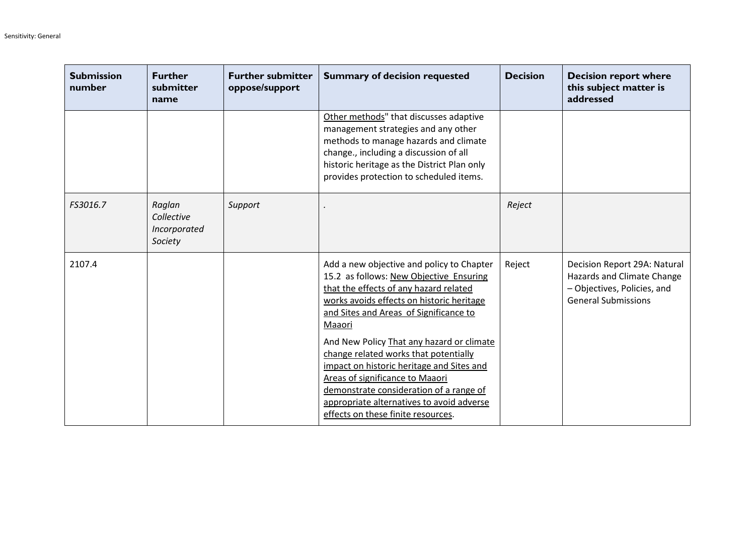| <b>Submission</b><br>number | <b>Further</b><br>submitter<br>name             | <b>Further submitter</b><br>oppose/support | <b>Summary of decision requested</b>                                                                                                                                                                                                                                                                                                                                                                                                                                                                                                | <b>Decision</b> | <b>Decision report where</b><br>this subject matter is<br>addressed                                                     |
|-----------------------------|-------------------------------------------------|--------------------------------------------|-------------------------------------------------------------------------------------------------------------------------------------------------------------------------------------------------------------------------------------------------------------------------------------------------------------------------------------------------------------------------------------------------------------------------------------------------------------------------------------------------------------------------------------|-----------------|-------------------------------------------------------------------------------------------------------------------------|
|                             |                                                 |                                            | Other methods" that discusses adaptive<br>management strategies and any other<br>methods to manage hazards and climate<br>change., including a discussion of all<br>historic heritage as the District Plan only<br>provides protection to scheduled items.                                                                                                                                                                                                                                                                          |                 |                                                                                                                         |
| FS3016.7                    | Raglan<br>Collective<br>Incorporated<br>Society | Support                                    |                                                                                                                                                                                                                                                                                                                                                                                                                                                                                                                                     | Reject          |                                                                                                                         |
| 2107.4                      |                                                 |                                            | Add a new objective and policy to Chapter<br>15.2 as follows: New Objective Ensuring<br>that the effects of any hazard related<br>works avoids effects on historic heritage<br>and Sites and Areas of Significance to<br>Maaori<br>And New Policy That any hazard or climate<br>change related works that potentially<br>impact on historic heritage and Sites and<br>Areas of significance to Maaori<br>demonstrate consideration of a range of<br>appropriate alternatives to avoid adverse<br>effects on these finite resources. | Reject          | Decision Report 29A: Natural<br>Hazards and Climate Change<br>- Objectives, Policies, and<br><b>General Submissions</b> |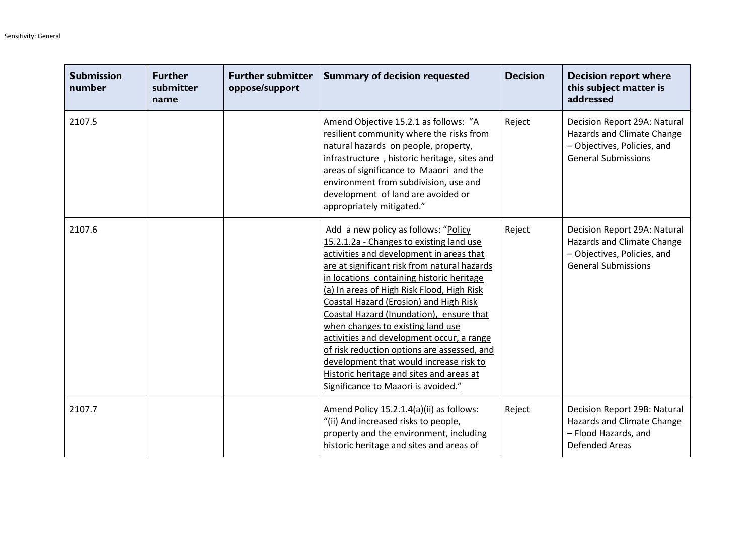| <b>Submission</b><br>number | <b>Further</b><br>submitter<br>name | <b>Further submitter</b><br>oppose/support | <b>Summary of decision requested</b>                                                                                                                                                                                                                                                                                                                                                                                                                                                                                                                                                                                         | <b>Decision</b> | <b>Decision report where</b><br>this subject matter is<br>addressed                                                     |
|-----------------------------|-------------------------------------|--------------------------------------------|------------------------------------------------------------------------------------------------------------------------------------------------------------------------------------------------------------------------------------------------------------------------------------------------------------------------------------------------------------------------------------------------------------------------------------------------------------------------------------------------------------------------------------------------------------------------------------------------------------------------------|-----------------|-------------------------------------------------------------------------------------------------------------------------|
| 2107.5                      |                                     |                                            | Amend Objective 15.2.1 as follows: "A<br>resilient community where the risks from<br>natural hazards on people, property,<br>infrastructure, historic heritage, sites and<br>areas of significance to Maaori and the<br>environment from subdivision, use and<br>development of land are avoided or<br>appropriately mitigated."                                                                                                                                                                                                                                                                                             | Reject          | Decision Report 29A: Natural<br>Hazards and Climate Change<br>- Objectives, Policies, and<br><b>General Submissions</b> |
| 2107.6                      |                                     |                                            | Add a new policy as follows: "Policy<br>15.2.1.2a - Changes to existing land use<br>activities and development in areas that<br>are at significant risk from natural hazards<br>in locations containing historic heritage<br>(a) In areas of High Risk Flood, High Risk<br>Coastal Hazard (Erosion) and High Risk<br>Coastal Hazard (Inundation), ensure that<br>when changes to existing land use<br>activities and development occur, a range<br>of risk reduction options are assessed, and<br>development that would increase risk to<br>Historic heritage and sites and areas at<br>Significance to Maaori is avoided." | Reject          | Decision Report 29A: Natural<br>Hazards and Climate Change<br>- Objectives, Policies, and<br><b>General Submissions</b> |
| 2107.7                      |                                     |                                            | Amend Policy 15.2.1.4(a)(ii) as follows:<br>"(ii) And increased risks to people,<br>property and the environment, including<br>historic heritage and sites and areas of                                                                                                                                                                                                                                                                                                                                                                                                                                                      | Reject          | Decision Report 29B: Natural<br>Hazards and Climate Change<br>- Flood Hazards, and<br><b>Defended Areas</b>             |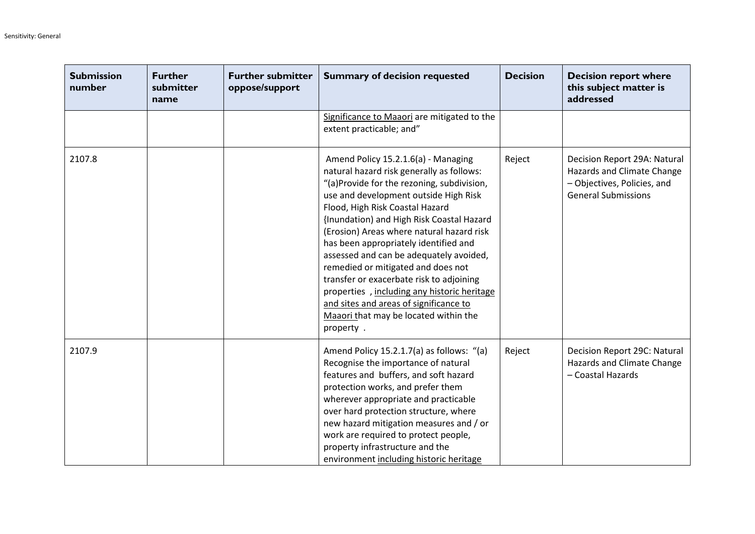| <b>Submission</b><br>number | <b>Further</b><br>submitter<br>name | <b>Further submitter</b><br>oppose/support | <b>Summary of decision requested</b>                                                                                                                                                                                                                                                                                                                                                                                                                                                                                                                                                                                      | <b>Decision</b> | <b>Decision report where</b><br>this subject matter is<br>addressed                                                     |
|-----------------------------|-------------------------------------|--------------------------------------------|---------------------------------------------------------------------------------------------------------------------------------------------------------------------------------------------------------------------------------------------------------------------------------------------------------------------------------------------------------------------------------------------------------------------------------------------------------------------------------------------------------------------------------------------------------------------------------------------------------------------------|-----------------|-------------------------------------------------------------------------------------------------------------------------|
|                             |                                     |                                            | Significance to Maaori are mitigated to the<br>extent practicable; and"                                                                                                                                                                                                                                                                                                                                                                                                                                                                                                                                                   |                 |                                                                                                                         |
| 2107.8                      |                                     |                                            | Amend Policy 15.2.1.6(a) - Managing<br>natural hazard risk generally as follows:<br>"(a)Provide for the rezoning, subdivision,<br>use and development outside High Risk<br>Flood, High Risk Coastal Hazard<br>{Inundation) and High Risk Coastal Hazard<br>(Erosion) Areas where natural hazard risk<br>has been appropriately identified and<br>assessed and can be adequately avoided,<br>remedied or mitigated and does not<br>transfer or exacerbate risk to adjoining<br>properties, including any historic heritage<br>and sites and areas of significance to<br>Maaori that may be located within the<br>property. | Reject          | Decision Report 29A: Natural<br>Hazards and Climate Change<br>- Objectives, Policies, and<br><b>General Submissions</b> |
| 2107.9                      |                                     |                                            | Amend Policy 15.2.1.7(a) as follows: "(a)<br>Recognise the importance of natural<br>features and buffers, and soft hazard<br>protection works, and prefer them<br>wherever appropriate and practicable<br>over hard protection structure, where<br>new hazard mitigation measures and / or<br>work are required to protect people,<br>property infrastructure and the<br>environment including historic heritage                                                                                                                                                                                                          | Reject          | Decision Report 29C: Natural<br>Hazards and Climate Change<br>- Coastal Hazards                                         |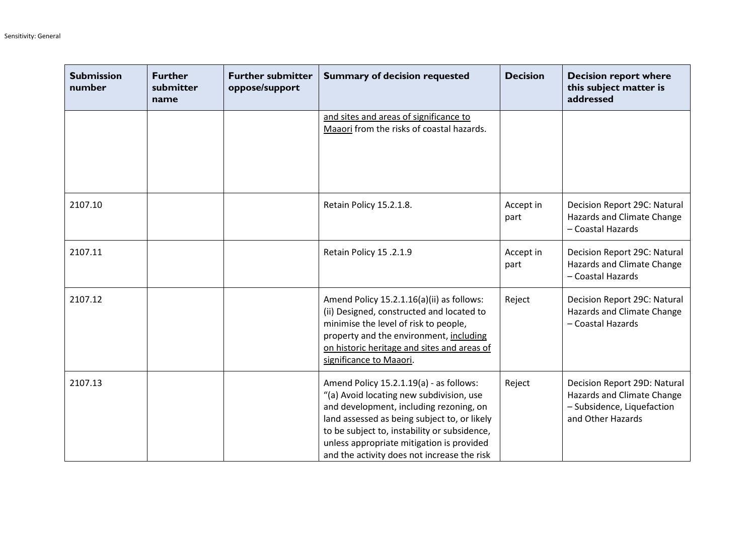| <b>Submission</b><br>number | <b>Further</b><br>submitter<br>name | <b>Further submitter</b><br>oppose/support | <b>Summary of decision requested</b>                                                                                                                                                                                                                                                                                       | <b>Decision</b>   | <b>Decision report where</b><br>this subject matter is<br>addressed                                           |
|-----------------------------|-------------------------------------|--------------------------------------------|----------------------------------------------------------------------------------------------------------------------------------------------------------------------------------------------------------------------------------------------------------------------------------------------------------------------------|-------------------|---------------------------------------------------------------------------------------------------------------|
|                             |                                     |                                            | and sites and areas of significance to<br>Maaori from the risks of coastal hazards.                                                                                                                                                                                                                                        |                   |                                                                                                               |
| 2107.10                     |                                     |                                            | Retain Policy 15.2.1.8.                                                                                                                                                                                                                                                                                                    | Accept in<br>part | Decision Report 29C: Natural<br>Hazards and Climate Change<br>- Coastal Hazards                               |
| 2107.11                     |                                     |                                            | Retain Policy 15 .2.1.9                                                                                                                                                                                                                                                                                                    | Accept in<br>part | Decision Report 29C: Natural<br>Hazards and Climate Change<br>- Coastal Hazards                               |
| 2107.12                     |                                     |                                            | Amend Policy 15.2.1.16(a)(ii) as follows:<br>(ii) Designed, constructed and located to<br>minimise the level of risk to people,<br>property and the environment, including<br>on historic heritage and sites and areas of<br>significance to Maaori.                                                                       | Reject            | Decision Report 29C: Natural<br>Hazards and Climate Change<br>- Coastal Hazards                               |
| 2107.13                     |                                     |                                            | Amend Policy 15.2.1.19(a) - as follows:<br>"(a) Avoid locating new subdivision, use<br>and development, including rezoning, on<br>land assessed as being subject to, or likely<br>to be subject to, instability or subsidence,<br>unless appropriate mitigation is provided<br>and the activity does not increase the risk | Reject            | Decision Report 29D: Natural<br>Hazards and Climate Change<br>- Subsidence, Liquefaction<br>and Other Hazards |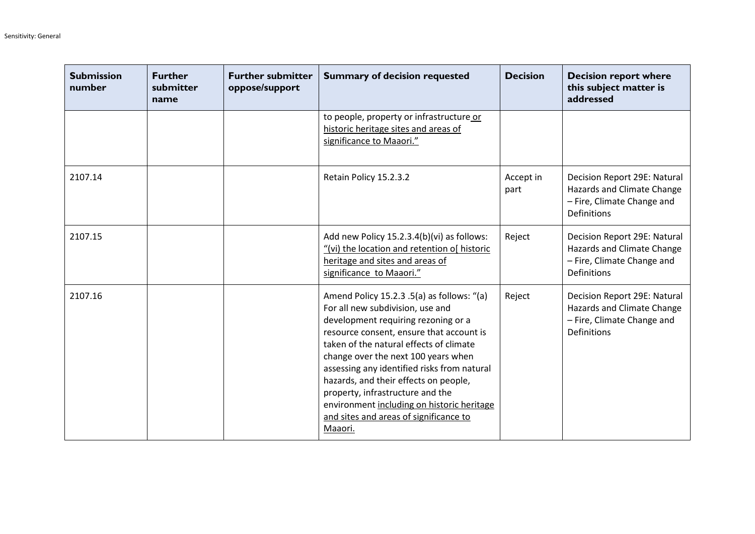| <b>Submission</b><br>number | <b>Further</b><br>submitter<br>name | <b>Further submitter</b><br>oppose/support | <b>Summary of decision requested</b>                                                                                                                                                                                                                                                                                                                                                                                                                                               | <b>Decision</b>   | <b>Decision report where</b><br>this subject matter is<br>addressed                                     |
|-----------------------------|-------------------------------------|--------------------------------------------|------------------------------------------------------------------------------------------------------------------------------------------------------------------------------------------------------------------------------------------------------------------------------------------------------------------------------------------------------------------------------------------------------------------------------------------------------------------------------------|-------------------|---------------------------------------------------------------------------------------------------------|
|                             |                                     |                                            | to people, property or infrastructure or<br>historic heritage sites and areas of<br>significance to Maaori."                                                                                                                                                                                                                                                                                                                                                                       |                   |                                                                                                         |
| 2107.14                     |                                     |                                            | Retain Policy 15.2.3.2                                                                                                                                                                                                                                                                                                                                                                                                                                                             | Accept in<br>part | Decision Report 29E: Natural<br>Hazards and Climate Change<br>- Fire, Climate Change and<br>Definitions |
| 2107.15                     |                                     |                                            | Add new Policy 15.2.3.4(b)(vi) as follows:<br>"(vi) the location and retention of historic<br>heritage and sites and areas of<br>significance to Maaori."                                                                                                                                                                                                                                                                                                                          | Reject            | Decision Report 29E: Natural<br>Hazards and Climate Change<br>- Fire, Climate Change and<br>Definitions |
| 2107.16                     |                                     |                                            | Amend Policy 15.2.3 .5(a) as follows: "(a)<br>For all new subdivision, use and<br>development requiring rezoning or a<br>resource consent, ensure that account is<br>taken of the natural effects of climate<br>change over the next 100 years when<br>assessing any identified risks from natural<br>hazards, and their effects on people,<br>property, infrastructure and the<br>environment including on historic heritage<br>and sites and areas of significance to<br>Maaori. | Reject            | Decision Report 29E: Natural<br>Hazards and Climate Change<br>- Fire, Climate Change and<br>Definitions |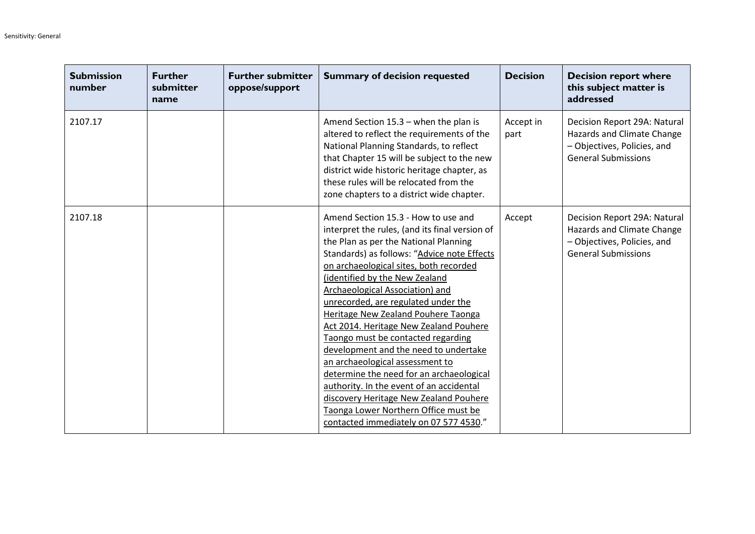| <b>Submission</b><br>number | <b>Further</b><br>submitter<br>name | <b>Further submitter</b><br>oppose/support | <b>Summary of decision requested</b>                                                                                                                                                                                                                                                                                                                                                                                                                                                                                                                                                                                                                                                                                                                       | <b>Decision</b>   | <b>Decision report where</b><br>this subject matter is<br>addressed                                                     |
|-----------------------------|-------------------------------------|--------------------------------------------|------------------------------------------------------------------------------------------------------------------------------------------------------------------------------------------------------------------------------------------------------------------------------------------------------------------------------------------------------------------------------------------------------------------------------------------------------------------------------------------------------------------------------------------------------------------------------------------------------------------------------------------------------------------------------------------------------------------------------------------------------------|-------------------|-------------------------------------------------------------------------------------------------------------------------|
| 2107.17                     |                                     |                                            | Amend Section $15.3$ – when the plan is<br>altered to reflect the requirements of the<br>National Planning Standards, to reflect<br>that Chapter 15 will be subject to the new<br>district wide historic heritage chapter, as<br>these rules will be relocated from the<br>zone chapters to a district wide chapter.                                                                                                                                                                                                                                                                                                                                                                                                                                       | Accept in<br>part | Decision Report 29A: Natural<br>Hazards and Climate Change<br>- Objectives, Policies, and<br><b>General Submissions</b> |
| 2107.18                     |                                     |                                            | Amend Section 15.3 - How to use and<br>interpret the rules, (and its final version of<br>the Plan as per the National Planning<br>Standards) as follows: "Advice note Effects<br>on archaeological sites, both recorded<br>(identified by the New Zealand<br>Archaeological Association) and<br>unrecorded, are regulated under the<br>Heritage New Zealand Pouhere Taonga<br>Act 2014. Heritage New Zealand Pouhere<br>Taongo must be contacted regarding<br>development and the need to undertake<br>an archaeological assessment to<br>determine the need for an archaeological<br>authority. In the event of an accidental<br>discovery Heritage New Zealand Pouhere<br>Taonga Lower Northern Office must be<br>contacted immediately on 07 577 4530." | Accept            | Decision Report 29A: Natural<br>Hazards and Climate Change<br>- Objectives, Policies, and<br><b>General Submissions</b> |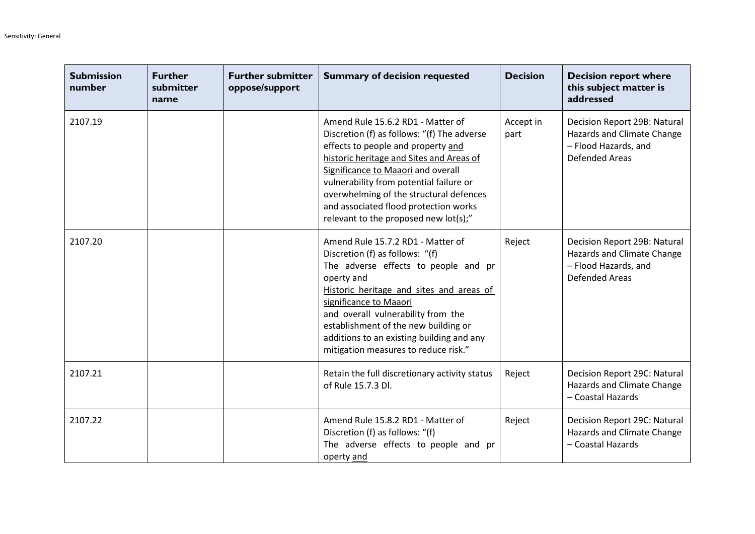| <b>Submission</b><br>number | <b>Further</b><br>submitter<br>name | <b>Further submitter</b><br>oppose/support | <b>Summary of decision requested</b>                                                                                                                                                                                                                                                                                                                                             | <b>Decision</b>   | <b>Decision report where</b><br>this subject matter is<br>addressed                                         |
|-----------------------------|-------------------------------------|--------------------------------------------|----------------------------------------------------------------------------------------------------------------------------------------------------------------------------------------------------------------------------------------------------------------------------------------------------------------------------------------------------------------------------------|-------------------|-------------------------------------------------------------------------------------------------------------|
| 2107.19                     |                                     |                                            | Amend Rule 15.6.2 RD1 - Matter of<br>Discretion (f) as follows: "(f) The adverse<br>effects to people and property and<br>historic heritage and Sites and Areas of<br>Significance to Maaori and overall<br>vulnerability from potential failure or<br>overwhelming of the structural defences<br>and associated flood protection works<br>relevant to the proposed new lot(s);" | Accept in<br>part | Decision Report 29B: Natural<br>Hazards and Climate Change<br>- Flood Hazards, and<br><b>Defended Areas</b> |
| 2107.20                     |                                     |                                            | Amend Rule 15.7.2 RD1 - Matter of<br>Discretion (f) as follows: "(f)<br>The adverse effects to people and pr<br>operty and<br>Historic heritage and sites and areas of<br>significance to Maaori<br>and overall vulnerability from the<br>establishment of the new building or<br>additions to an existing building and any<br>mitigation measures to reduce risk."              | Reject            | Decision Report 29B: Natural<br>Hazards and Climate Change<br>- Flood Hazards, and<br><b>Defended Areas</b> |
| 2107.21                     |                                     |                                            | Retain the full discretionary activity status<br>of Rule 15.7.3 Dl.                                                                                                                                                                                                                                                                                                              | Reject            | Decision Report 29C: Natural<br>Hazards and Climate Change<br>- Coastal Hazards                             |
| 2107.22                     |                                     |                                            | Amend Rule 15.8.2 RD1 - Matter of<br>Discretion (f) as follows: "(f)<br>The adverse effects to people and pr<br>operty and                                                                                                                                                                                                                                                       | Reject            | Decision Report 29C: Natural<br>Hazards and Climate Change<br>- Coastal Hazards                             |